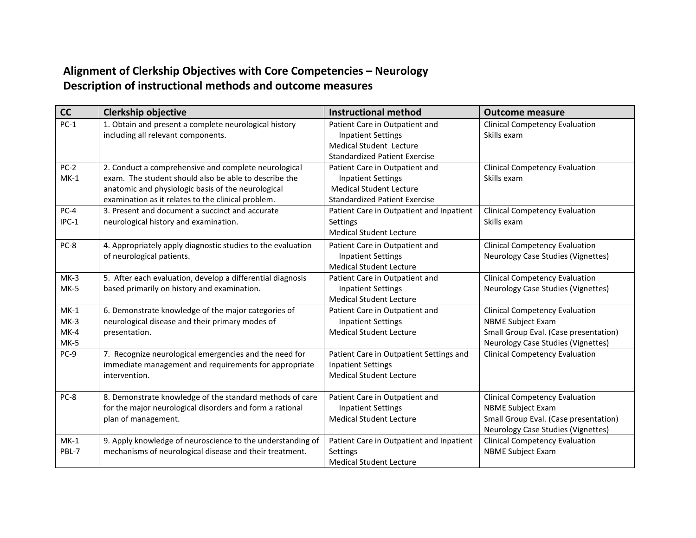## **Alignment of Clerkship Objectives with Core Competencies – Neurology Description of instructional methods and outcome measures**

| cc     | <b>Clerkship objective</b>                                  | <b>Instructional method</b>              | <b>Outcome measure</b>                |
|--------|-------------------------------------------------------------|------------------------------------------|---------------------------------------|
| $PC-1$ | 1. Obtain and present a complete neurological history       | Patient Care in Outpatient and           | <b>Clinical Competency Evaluation</b> |
|        | including all relevant components.                          | <b>Inpatient Settings</b>                | Skills exam                           |
|        |                                                             | Medical Student Lecture                  |                                       |
|        |                                                             | <b>Standardized Patient Exercise</b>     |                                       |
| $PC-2$ | 2. Conduct a comprehensive and complete neurological        | Patient Care in Outpatient and           | <b>Clinical Competency Evaluation</b> |
| $MK-1$ | exam. The student should also be able to describe the       | <b>Inpatient Settings</b>                | Skills exam                           |
|        | anatomic and physiologic basis of the neurological          | <b>Medical Student Lecture</b>           |                                       |
|        | examination as it relates to the clinical problem.          | <b>Standardized Patient Exercise</b>     |                                       |
| $PC-4$ | 3. Present and document a succinct and accurate             | Patient Care in Outpatient and Inpatient | <b>Clinical Competency Evaluation</b> |
| IPC-1  | neurological history and examination.                       | Settings                                 | Skills exam                           |
|        |                                                             | <b>Medical Student Lecture</b>           |                                       |
| PC-8   | 4. Appropriately apply diagnostic studies to the evaluation | Patient Care in Outpatient and           | <b>Clinical Competency Evaluation</b> |
|        | of neurological patients.                                   | <b>Inpatient Settings</b>                | Neurology Case Studies (Vignettes)    |
|        |                                                             | <b>Medical Student Lecture</b>           |                                       |
| $MK-3$ | 5. After each evaluation, develop a differential diagnosis  | Patient Care in Outpatient and           | <b>Clinical Competency Evaluation</b> |
| $MK-5$ | based primarily on history and examination.                 | <b>Inpatient Settings</b>                | Neurology Case Studies (Vignettes)    |
|        |                                                             | <b>Medical Student Lecture</b>           |                                       |
| $MK-1$ | 6. Demonstrate knowledge of the major categories of         | Patient Care in Outpatient and           | <b>Clinical Competency Evaluation</b> |
| $MK-3$ | neurological disease and their primary modes of             | <b>Inpatient Settings</b>                | <b>NBME Subject Exam</b>              |
| $MK-4$ | presentation.                                               | <b>Medical Student Lecture</b>           | Small Group Eval. (Case presentation) |
| $MK-5$ |                                                             |                                          | Neurology Case Studies (Vignettes)    |
| PC-9   | 7. Recognize neurological emergencies and the need for      | Patient Care in Outpatient Settings and  | <b>Clinical Competency Evaluation</b> |
|        | immediate management and requirements for appropriate       | <b>Inpatient Settings</b>                |                                       |
|        | intervention.                                               | <b>Medical Student Lecture</b>           |                                       |
| PC-8   | 8. Demonstrate knowledge of the standard methods of care    | Patient Care in Outpatient and           | <b>Clinical Competency Evaluation</b> |
|        | for the major neurological disorders and form a rational    | <b>Inpatient Settings</b>                | <b>NBME Subject Exam</b>              |
|        | plan of management.                                         | <b>Medical Student Lecture</b>           | Small Group Eval. (Case presentation) |
|        |                                                             |                                          | Neurology Case Studies (Vignettes)    |
| $MK-1$ | 9. Apply knowledge of neuroscience to the understanding of  | Patient Care in Outpatient and Inpatient | <b>Clinical Competency Evaluation</b> |
| PBL-7  | mechanisms of neurological disease and their treatment.     | <b>Settings</b>                          | <b>NBME Subject Exam</b>              |
|        |                                                             | <b>Medical Student Lecture</b>           |                                       |